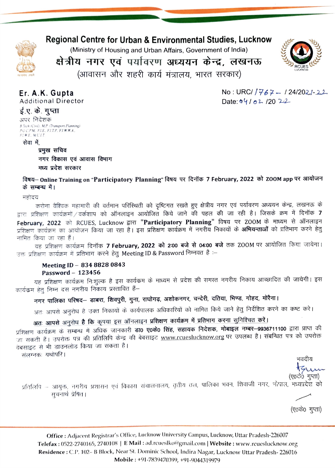### Regional Centre for Urban & Environmental Studies, Lucknow

(Ministry of Housing and Urban Affairs, Government of India)



क्षेत्रीय नगर एवं पर्यावरण अध्ययन केन्द्र, लखनऊ (आवासन और शहरी कार्य मंत्रालय, भारत सरकार)



 $No: URC/767 - 124/2021 - 22$ 

Date:  $04/02/20$  22

Er. A.K. Gupta Additional Director

ई.ए. के. गुप्ता

अपर निदेशक R Tech (Civil). M.P. (Transport Planning) PGCPM FIE. FITP. FI WHA. FIWE MUIT

सेवा में

प्रमुख सचिव

नगर विकास एवं आवास विभाग मध्य प्रदेश सरकार

विषय- Online Training on "Participatory Planning" विषय पर दिनॉक 7 February, 2022 को ZOOM app पर आयोजन के सम्बन्ध में।

महोदय

करोना वैश्विक महामारी की वर्तमान परिस्थिती को दृष्टिगत रखते हुए क्षेत्रीय नगर एवं पर्यावरण अध्ययन केन्द्र, लखनऊ के द्वारा प्रशिक्षण कार्यक्रमों / वर्कशाप को ऑनलाइन आयोजित किये जाने की पहल की जा रही है। जिसके क्रम में दिनॉक 7 February, 2022 को RCUES, Lucknow द्वारा **"Participatory Planning"** विषय पर ZOOM के माध्यम से ऑनलाइन<br>प्रशिक्षण कार्यक्रम का आयोजन किया जा रहा है। इस प्रशिक्षण कार्यक्रम में नगरीय निकायों के **अभियन्ताओं** को प्रतिभाग करने हे

नामित किया जा रहा हैं।<br>यह प्रशिक्षण कार्यक्रम दिनॉक **7 February, 2022 को 2:00 बजे से 04:00 बजे** तक ZOOM पर आयोजित किया जायेगा। उक्त प्रशिक्षण कार्यक्रम में प्रतिभाग करने हेतु Meeting ID & Password निम्नवत है :–

## Meeting ID - 834 8828 0843

Password – 123456<br>यह प्रशिक्षण कार्यक्रम निःशुल्क है इस कार्यक्रम के माध्यम से प्रदेश की समस्त नगरीय निकाय आच्छादित की जायेगी। इस कार्यक्रम हेतु निम्न दस नगरीय निकाय प्रस्तावित हैं-

- - - -<br>नगर पालिका परिषद— डाबरा, शिवपुरी, गुना, राघोगढ़, अशोकनगर, चन्देरी, दतिया, भिण्ड, गोहद, मोरैना।

अतः आपसे अनुरोध है उक्त निकायों के कार्यपालक अधिकारियों को नामित किये जाने हेतु निर्देशित करने का कष्ट करे।

### अतः आपसे अनुरोध है कि कृपया इस ऑनलाइन प्रशिक्षण कार्यक्रम में प्रतिभाग करना सुनिश्चित करें।

<u>अंतः आपस्त अनुराय है । यह यहाँ इस आपसे महाराजा मानामा समाप्त है।</u><br>प्रशिक्षण कार्यक्रम के सम्बन्ध में अधिक जानकारी **डा0 ए0के0 सिंह, सहायक निदेशक, मोबाइल नम्बर–9936711100** द्वारा प्राप्त की प्राशक्षण कायक्रम के सम्बन्ध ने आयेक जानवारा डाउ रेंक्स्ट रेस्ट साहे, सहायक रास्तेहरू में मैं रहे हैं। संबन्धित पत्र को उपरोक्त<br>जा सकती हैं। उपरोक्त पत्र की प्रतिलिपि केन्द्र की बेबसाइट <u>www.rcueslucknow.org</u> पर उपलब्ध है जी से सारी हैं।<br>वेबसाइट से भी डाउनलोड किया जा सकता है।

संलग्नकः यथोपरि।

भवदीय

(ए०कें० गुप्ता)

प्रतिलिपि – आयुक्त, नगरीय प्रशासन एवं विकास संचालनालय, तृतीय तल, पालिका भवन, शिवाजी नगर, भोपाल, मध्यप्रदेश को सूचनार्थ प्रेषित।

(ए०के० गुप्ता)

Office: Adjacent Registrar's Office, Lucknow University Campus, Lucknow, Uttar Pradesh-226007 Telefax: 0522-2740165, 2740108 | E Mail: ad.rcueslko@gmail.com | Website: www.rcueslucknow.org Residence: C.P, 102- B Block, Near St. Dominic School, Indira Nagar, Lucknow Uttar Pradesh- 226016 Mobile: +91-7839470399, +91-9044319979